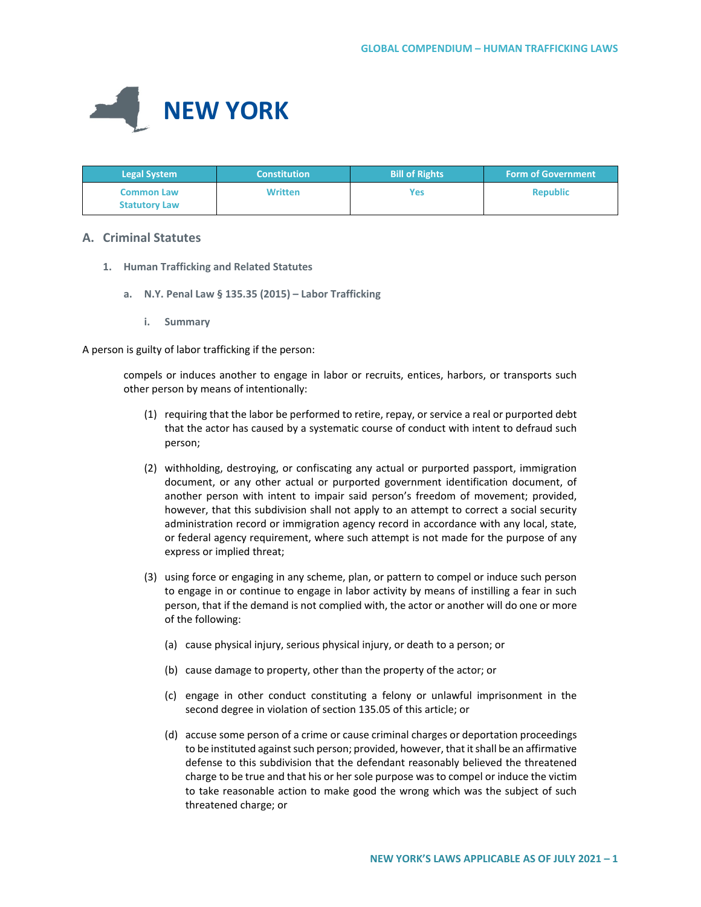

| <b>Legal System</b>                       | <b>Constitution</b> | <b>Bill of Rights</b> | <b>Form of Government</b> |
|-------------------------------------------|---------------------|-----------------------|---------------------------|
| <b>Common Law</b><br><b>Statutory Law</b> | <b>Written</b>      | Yes                   | <b>Republic</b>           |

## **A. Criminal Statutes**

- **1. Human Trafficking and Related Statutes**
	- **a. N.Y. Penal Law § 135.35 (2015) Labor Trafficking**
		- **i. Summary**

A person is guilty of labor trafficking if the person:

compels or induces another to engage in labor or recruits, entices, harbors, or transports such other person by means of intentionally:

- (1) requiring that the labor be performed to retire, repay, or service a real or purported debt that the actor has caused by a systematic course of conduct with intent to defraud such person;
- (2) withholding, destroying, or confiscating any actual or purported passport, immigration document, or any other actual or purported government identification document, of another person with intent to impair said person's freedom of movement; provided, however, that this subdivision shall not apply to an attempt to correct a social security administration record or immigration agency record in accordance with any local, state, or federal agency requirement, where such attempt is not made for the purpose of any express or implied threat;
- (3) using force or engaging in any scheme, plan, or pattern to compel or induce such person to engage in or continue to engage in labor activity by means of instilling a fear in such person, that if the demand is not complied with, the actor or another will do one or more of the following:
	- (a) cause physical injury, serious physical injury, or death to a person; or
	- (b) cause damage to property, other than the property of the actor; or
	- (c) engage in other conduct constituting a felony or unlawful imprisonment in the second degree in violation of section 135.05 of this article; or
	- (d) accuse some person of a crime or cause criminal charges or deportation proceedings to be instituted against such person; provided, however, that it shall be an affirmative defense to this subdivision that the defendant reasonably believed the threatened charge to be true and that his or her sole purpose was to compel or induce the victim to take reasonable action to make good the wrong which was the subject of such threatened charge; or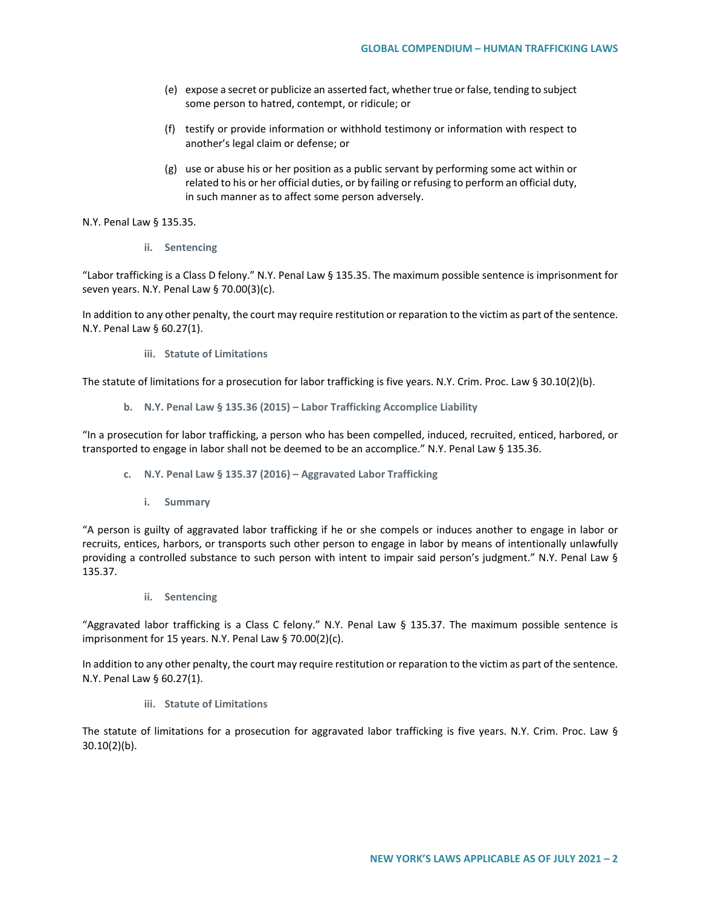- (e) expose a secret or publicize an asserted fact, whether true or false, tending to subject some person to hatred, contempt, or ridicule; or
- (f) testify or provide information or withhold testimony or information with respect to another's legal claim or defense; or
- (g) use or abuse his or her position as a public servant by performing some act within or related to his or her official duties, or by failing or refusing to perform an official duty, in such manner as to affect some person adversely.

N.Y. Penal Law § 135.35.

**ii. Sentencing** 

"Labor trafficking is a Class D felony." N.Y. Penal Law § 135.35. The maximum possible sentence is imprisonment for seven years. N.Y. Penal Law § 70.00(3)(c).

In addition to any other penalty, the court may require restitution or reparation to the victim as part of the sentence. N.Y. Penal Law § 60.27(1).

**iii. Statute of Limitations**

The statute of limitations for a prosecution for labor trafficking is five years. N.Y. Crim. Proc. Law § 30.10(2)(b).

**b. N.Y. Penal Law § 135.36 (2015) – Labor Trafficking Accomplice Liability**

"In a prosecution for labor trafficking, a person who has been compelled, induced, recruited, enticed, harbored, or transported to engage in labor shall not be deemed to be an accomplice." N.Y. Penal Law § 135.36.

- **c. N.Y. Penal Law § 135.37 (2016) – Aggravated Labor Trafficking**
	- **i. Summary**

"A person is guilty of aggravated labor trafficking if he or she compels or induces another to engage in labor or recruits, entices, harbors, or transports such other person to engage in labor by means of intentionally unlawfully providing a controlled substance to such person with intent to impair said person's judgment." N.Y. Penal Law § 135.37.

**ii. Sentencing**

"Aggravated labor trafficking is a Class C felony." N.Y. Penal Law § 135.37. The maximum possible sentence is imprisonment for 15 years. N.Y. Penal Law § 70.00(2)(c).

In addition to any other penalty, the court may require restitution or reparation to the victim as part of the sentence. N.Y. Penal Law § 60.27(1).

**iii. Statute of Limitations**

The statute of limitations for a prosecution for aggravated labor trafficking is five years. N.Y. Crim. Proc. Law § 30.10(2)(b).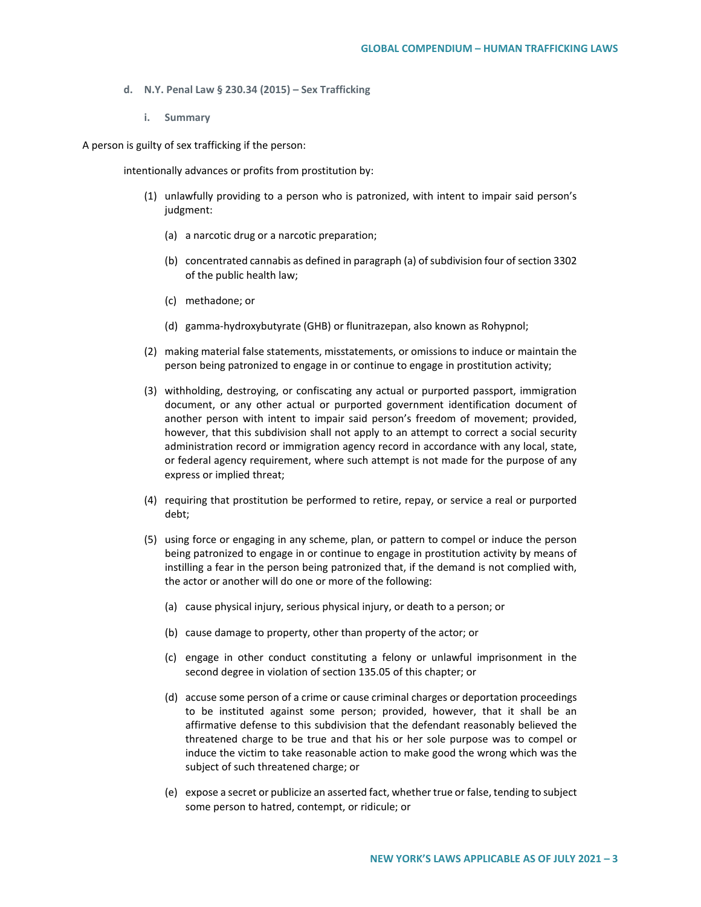- **d. N.Y. Penal Law § 230.34 (2015) – Sex Trafficking** 
	- **i. Summary**

A person is guilty of sex trafficking if the person:

intentionally advances or profits from prostitution by:

- (1) unlawfully providing to a person who is patronized, with intent to impair said person's judgment:
	- (a) a narcotic drug or a narcotic preparation;
	- (b) concentrated cannabis as defined in paragraph (a) of subdivision four of section 3302 of the public health law;
	- (c) methadone; or
	- (d) gamma-hydroxybutyrate (GHB) or flunitrazepan, also known as Rohypnol;
- (2) making material false statements, misstatements, or omissions to induce or maintain the person being patronized to engage in or continue to engage in prostitution activity;
- (3) withholding, destroying, or confiscating any actual or purported passport, immigration document, or any other actual or purported government identification document of another person with intent to impair said person's freedom of movement; provided, however, that this subdivision shall not apply to an attempt to correct a social security administration record or immigration agency record in accordance with any local, state, or federal agency requirement, where such attempt is not made for the purpose of any express or implied threat;
- (4) requiring that prostitution be performed to retire, repay, or service a real or purported debt;
- (5) using force or engaging in any scheme, plan, or pattern to compel or induce the person being patronized to engage in or continue to engage in prostitution activity by means of instilling a fear in the person being patronized that, if the demand is not complied with, the actor or another will do one or more of the following:
	- (a) cause physical injury, serious physical injury, or death to a person; or
	- (b) cause damage to property, other than property of the actor; or
	- (c) engage in other conduct constituting a felony or unlawful imprisonment in the second degree in violation of section 135.05 of this chapter; or
	- (d) accuse some person of a crime or cause criminal charges or deportation proceedings to be instituted against some person; provided, however, that it shall be an affirmative defense to this subdivision that the defendant reasonably believed the threatened charge to be true and that his or her sole purpose was to compel or induce the victim to take reasonable action to make good the wrong which was the subject of such threatened charge; or
	- (e) expose a secret or publicize an asserted fact, whether true or false, tending to subject some person to hatred, contempt, or ridicule; or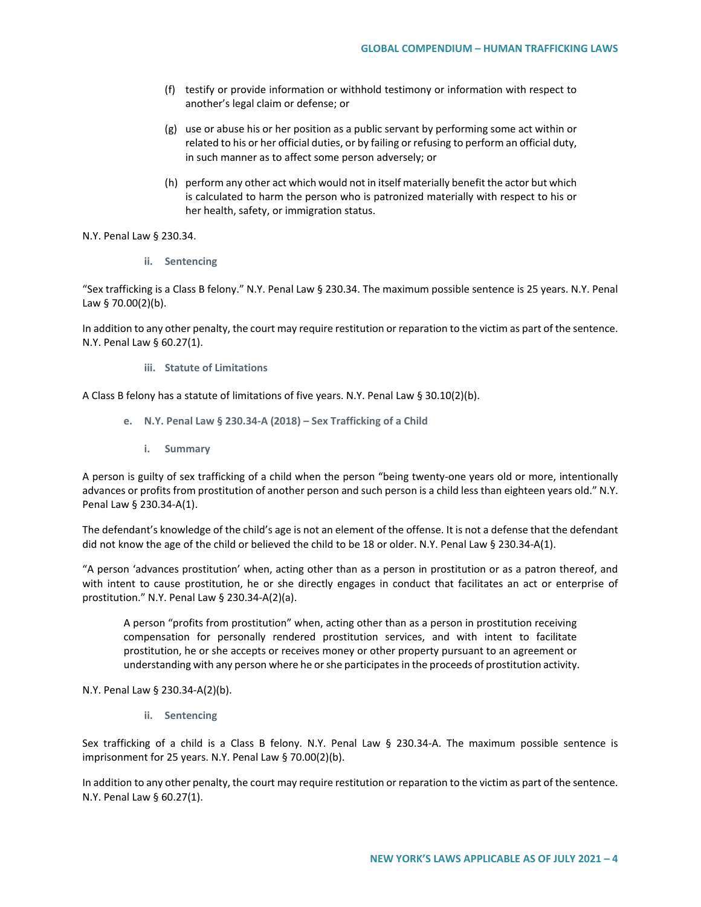- (f) testify or provide information or withhold testimony or information with respect to another's legal claim or defense; or
- (g) use or abuse his or her position as a public servant by performing some act within or related to his or her official duties, or by failing or refusing to perform an official duty, in such manner as to affect some person adversely; or
- (h) perform any other act which would not in itself materially benefit the actor but which is calculated to harm the person who is patronized materially with respect to his or her health, safety, or immigration status.

N.Y. Penal Law § 230.34.

**ii. Sentencing**

"Sex trafficking is a Class B felony." N.Y. Penal Law § 230.34. The maximum possible sentence is 25 years. N.Y. Penal Law § 70.00(2)(b).

In addition to any other penalty, the court may require restitution or reparation to the victim as part of the sentence. N.Y. Penal Law § 60.27(1).

**iii. Statute of Limitations**

A Class B felony has a statute of limitations of five years. N.Y. Penal Law § 30.10(2)(b).

- **e. N.Y. Penal Law § 230.34-A (2018) – Sex Trafficking of a Child**
	- **i. Summary**

A person is guilty of sex trafficking of a child when the person "being twenty-one years old or more, intentionally advances or profits from prostitution of another person and such person is a child less than eighteen years old." N.Y. Penal Law § 230.34-A(1).

The defendant's knowledge of the child's age is not an element of the offense. It is not a defense that the defendant did not know the age of the child or believed the child to be 18 or older. N.Y. Penal Law § 230.34-A(1).

"A person 'advances prostitution' when, acting other than as a person in prostitution or as a patron thereof, and with intent to cause prostitution, he or she directly engages in conduct that facilitates an act or enterprise of prostitution." N.Y. Penal Law § 230.34-A(2)(a).

A person "profits from prostitution" when, acting other than as a person in prostitution receiving compensation for personally rendered prostitution services, and with intent to facilitate prostitution, he or she accepts or receives money or other property pursuant to an agreement or understanding with any person where he or she participates in the proceeds of prostitution activity.

N.Y. Penal Law § 230.34-A(2)(b).

**ii. Sentencing**

Sex trafficking of a child is a Class B felony. N.Y. Penal Law § 230.34-A. The maximum possible sentence is imprisonment for 25 years. N.Y. Penal Law § 70.00(2)(b).

In addition to any other penalty, the court may require restitution or reparation to the victim as part of the sentence. N.Y. Penal Law § 60.27(1).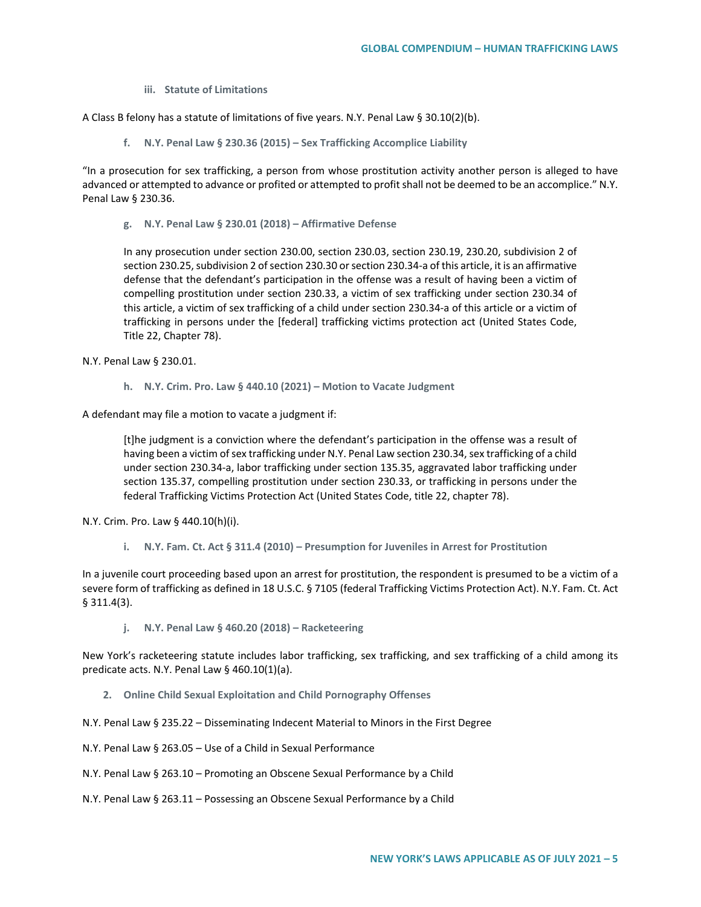**iii. Statute of Limitations**

A Class B felony has a statute of limitations of five years. N.Y. Penal Law § 30.10(2)(b).

**f. N.Y. Penal Law § 230.36 (2015) – Sex Trafficking Accomplice Liability** 

"In a prosecution for sex trafficking, a person from whose prostitution activity another person is alleged to have advanced or attempted to advance or profited or attempted to profit shall not be deemed to be an accomplice." N.Y. Penal Law § 230.36.

**g. N.Y. Penal Law § 230.01 (2018) – Affirmative Defense**

In any prosecution under section 230.00, section 230.03, section 230.19, 230.20, subdivision 2 of section 230.25, subdivision 2 of section 230.30 or section 230.34-a of this article, it is an affirmative defense that the defendant's participation in the offense was a result of having been a victim of compelling prostitution under section 230.33, a victim of sex trafficking under section 230.34 of this article, a victim of sex trafficking of a child under section 230.34-a of this article or a victim of trafficking in persons under the [federal] trafficking victims protection act (United States Code, Title 22, Chapter 78).

N.Y. Penal Law § 230.01.

**h. N.Y. Crim. Pro. Law § 440.10 (2021) – Motion to Vacate Judgment**

A defendant may file a motion to vacate a judgment if:

[t]he judgment is a conviction where the defendant's participation in the offense was a result of having been a victim of sex trafficking under N.Y. Penal Law section 230.34, sex trafficking of a child under section 230.34-a, labor trafficking under section 135.35, aggravated labor trafficking under section 135.37, compelling prostitution under section 230.33, or trafficking in persons under the federal Trafficking Victims Protection Act (United States Code, title 22, chapter 78).

N.Y. Crim. Pro. Law § 440.10(h)(i).

**i. N.Y. Fam. Ct. Act § 311.4 (2010) – Presumption for Juveniles in Arrest for Prostitution** 

In a juvenile court proceeding based upon an arrest for prostitution, the respondent is presumed to be a victim of a severe form of trafficking as defined in 18 U.S.C. § 7105 (federal Trafficking Victims Protection Act). N.Y. Fam. Ct. Act § 311.4(3).

**j. N.Y. Penal Law § 460.20 (2018) – Racketeering**

New York's racketeering statute includes labor trafficking, sex trafficking, and sex trafficking of a child among its predicate acts. N.Y. Penal Law § 460.10(1)(a).

- **2. Online Child Sexual Exploitation and Child Pornography Offenses**
- N.Y. Penal Law § 235.22 Disseminating Indecent Material to Minors in the First Degree
- N.Y. Penal Law § 263.05 Use of a Child in Sexual Performance
- N.Y. Penal Law § 263.10 Promoting an Obscene Sexual Performance by a Child
- N.Y. Penal Law § 263.11 Possessing an Obscene Sexual Performance by a Child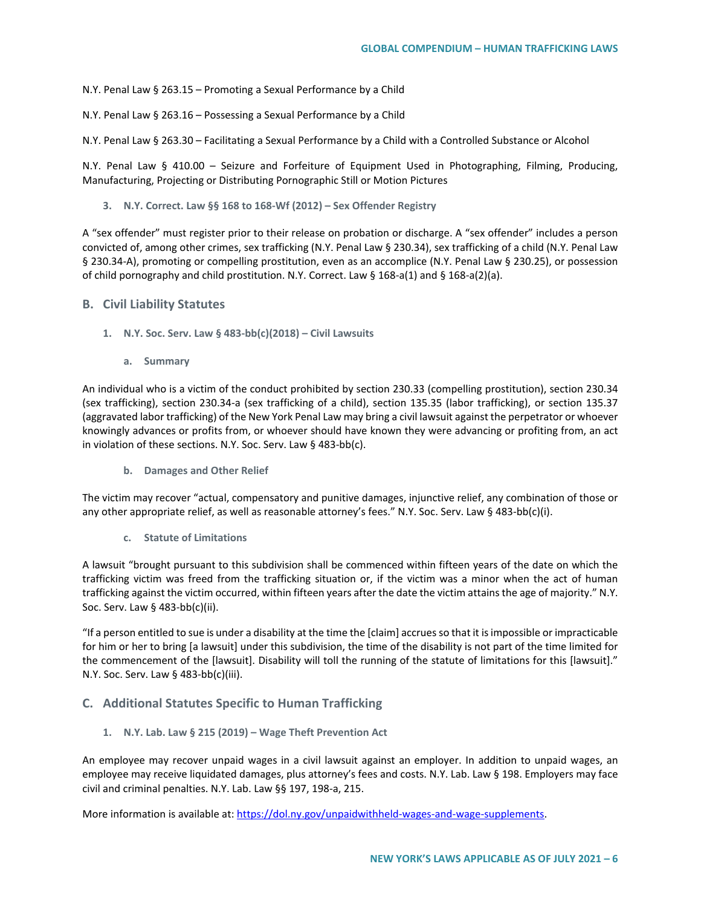N.Y. Penal Law § 263.15 – Promoting a Sexual Performance by a Child

N.Y. Penal Law § 263.16 – Possessing a Sexual Performance by a Child

N.Y. Penal Law § 263.30 – Facilitating a Sexual Performance by a Child with a Controlled Substance or Alcohol

N.Y. Penal Law § 410.00 – Seizure and Forfeiture of Equipment Used in Photographing, Filming, Producing, Manufacturing, Projecting or Distributing Pornographic Still or Motion Pictures

**3. N.Y. Correct. Law §§ 168 to 168-Wf (2012) – Sex Offender Registry**

A "sex offender" must register prior to their release on probation or discharge. A "sex offender" includes a person convicted of, among other crimes, sex trafficking (N.Y. Penal Law § 230.34), sex trafficking of a child (N.Y. Penal Law § 230.34-A), promoting or compelling prostitution, even as an accomplice (N.Y. Penal Law § 230.25), or possession of child pornography and child prostitution. N.Y. Correct. Law § 168-a(1) and § 168-a(2)(a).

### **B. Civil Liability Statutes**

- **1. N.Y. Soc. Serv. Law § 483-bb(c)(2018) Civil Lawsuits** 
	- **a. Summary**

An individual who is a victim of the conduct prohibited by section 230.33 (compelling prostitution), section 230.34 (sex trafficking), section 230.34-a (sex trafficking of a child), section 135.35 (labor trafficking), or section 135.37 (aggravated labor trafficking) of the New York Penal Law may bring a civil lawsuit against the perpetrator or whoever knowingly advances or profits from, or whoever should have known they were advancing or profiting from, an act in violation of these sections. N.Y. Soc. Serv. Law § 483-bb(c).

**b. Damages and Other Relief**

The victim may recover "actual, compensatory and punitive damages, injunctive relief, any combination of those or any other appropriate relief, as well as reasonable attorney's fees." N.Y. Soc. Serv. Law § 483-bb(c)(i).

**c. Statute of Limitations**

A lawsuit "brought pursuant to this subdivision shall be commenced within fifteen years of the date on which the trafficking victim was freed from the trafficking situation or, if the victim was a minor when the act of human trafficking against the victim occurred, within fifteen years after the date the victim attains the age of majority." N.Y. Soc. Serv. Law § 483-bb(c)(ii).

"If a person entitled to sue is under a disability at the time the [claim] accrues so that it is impossible or impracticable for him or her to bring [a lawsuit] under this subdivision, the time of the disability is not part of the time limited for the commencement of the [lawsuit]. Disability will toll the running of the statute of limitations for this [lawsuit]." N.Y. Soc. Serv. Law § 483-bb(c)(iii).

# **C. Additional Statutes Specific to Human Trafficking**

**1. N.Y. Lab. Law § 215 (2019) – Wage Theft Prevention Act**

An employee may recover unpaid wages in a civil lawsuit against an employer. In addition to unpaid wages, an employee may receive liquidated damages, plus attorney's fees and costs. N.Y. Lab. Law § 198. Employers may face civil and criminal penalties. N.Y. Lab. Law §§ 197, 198-a, 215.

More information is available at: [https://dol.ny.gov/unpaidwithheld-wages-and-wage-supplements.](https://dol.ny.gov/unpaidwithheld-wages-and-wage-supplements)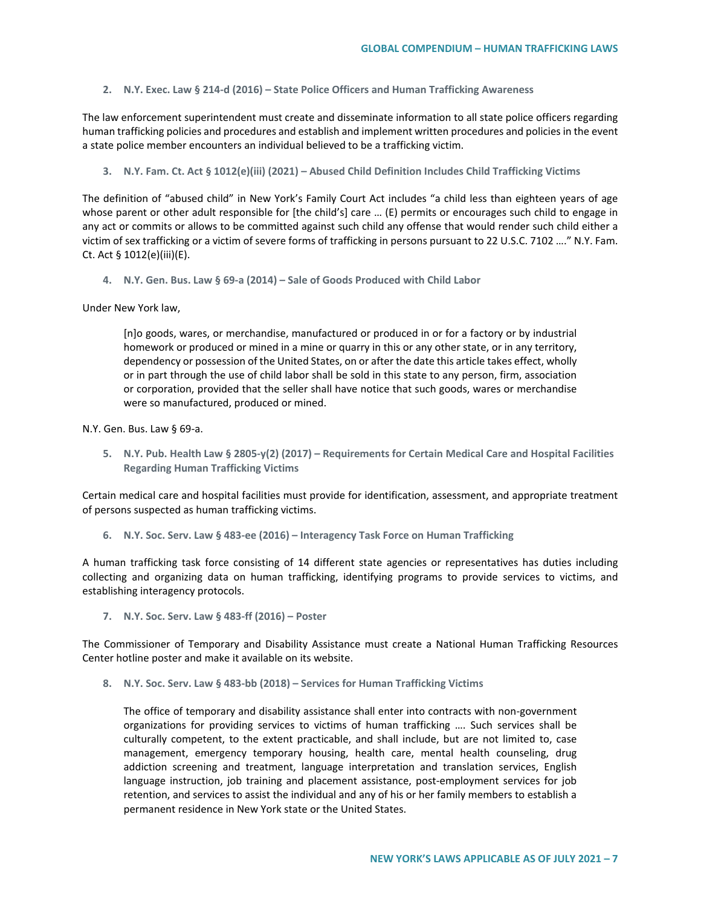**2. N.Y. Exec. Law § 214-d (2016) – State Police Officers and Human Trafficking Awareness** 

The law enforcement superintendent must create and disseminate information to all state police officers regarding human trafficking policies and procedures and establish and implement written procedures and policies in the event a state police member encounters an individual believed to be a trafficking victim.

**3. N.Y. Fam. Ct. Act § 1012(e)(iii) (2021) – Abused Child Definition Includes Child Trafficking Victims**

The definition of "abused child" in New York's Family Court Act includes "a child less than eighteen years of age whose parent or other adult responsible for [the child's] care … (E) permits or encourages such child to engage in any act or commits or allows to be committed against such child any offense that would render such child either a victim of sex trafficking or a victim of severe forms of trafficking in persons pursuant to 22 U.S.C. 7102 …." N.Y. Fam. Ct. Act § 1012(e)(iii)(E).

**4. N.Y. Gen. Bus. Law § 69-a (2014) – Sale of Goods Produced with Child Labor**

Under New York law,

[n]o goods, wares, or merchandise, manufactured or produced in or for a factory or by industrial homework or produced or mined in a mine or quarry in this or any other state, or in any territory, dependency or possession of the United States, on or after the date this article takes effect, wholly or in part through the use of child labor shall be sold in this state to any person, firm, association or corporation, provided that the seller shall have notice that such goods, wares or merchandise were so manufactured, produced or mined.

N.Y. Gen. Bus. Law § 69-a.

**5. N.Y. Pub. Health Law § 2805-y(2) (2017) – Requirements for Certain Medical Care and Hospital Facilities Regarding Human Trafficking Victims**

Certain medical care and hospital facilities must provide for identification, assessment, and appropriate treatment of persons suspected as human trafficking victims.

**6. N.Y. Soc. Serv. Law § 483-ee (2016) – Interagency Task Force on Human Trafficking** 

A human trafficking task force consisting of 14 different state agencies or representatives has duties including collecting and organizing data on human trafficking, identifying programs to provide services to victims, and establishing interagency protocols.

**7. N.Y. Soc. Serv. Law § 483-ff (2016) – Poster**

The Commissioner of Temporary and Disability Assistance must create a National Human Trafficking Resources Center hotline poster and make it available on its website.

**8. N.Y. Soc. Serv. Law § 483-bb (2018) – Services for Human Trafficking Victims**

The office of temporary and disability assistance shall enter into contracts with non-government organizations for providing services to victims of human trafficking …. Such services shall be culturally competent, to the extent practicable, and shall include, but are not limited to, case management, emergency temporary housing, health care, mental health counseling, drug addiction screening and treatment, language interpretation and translation services, English language instruction, job training and placement assistance, post-employment services for job retention, and services to assist the individual and any of his or her family members to establish a permanent residence in New York state or the United States.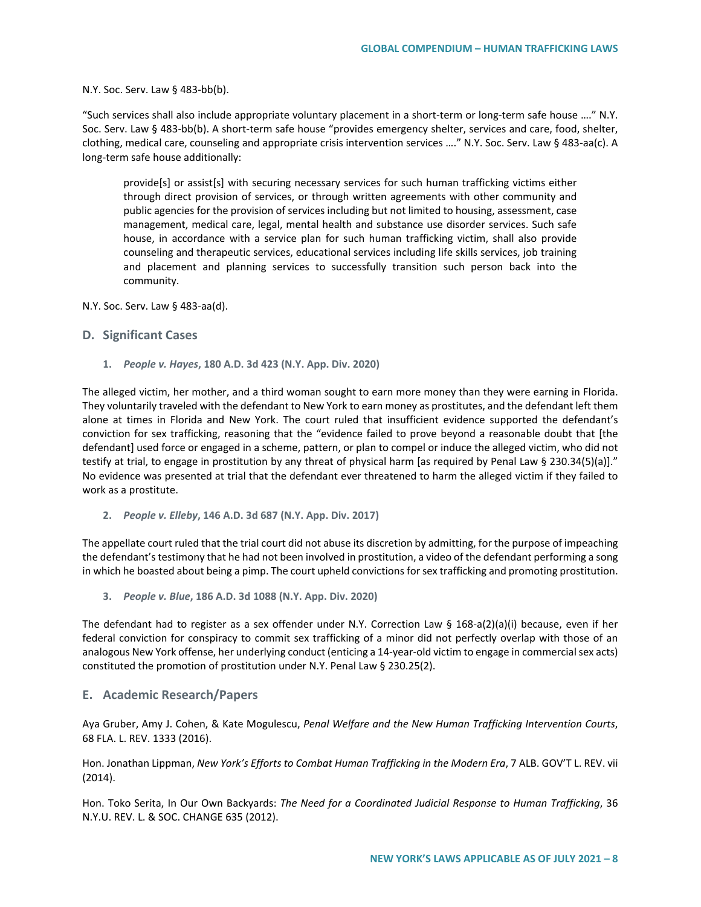N.Y. Soc. Serv. Law § 483-bb(b).

"Such services shall also include appropriate voluntary placement in a short-term or long-term safe house …." N.Y. Soc. Serv. Law § 483-bb(b). A short-term safe house "provides emergency shelter, services and care, food, shelter, clothing, medical care, counseling and appropriate crisis intervention services …." N.Y. Soc. Serv. Law § 483-aa(c). A long-term safe house additionally:

provide[s] or assist[s] with securing necessary services for such human trafficking victims either through direct provision of services, or through written agreements with other community and public agencies for the provision of services including but not limited to housing, assessment, case management, medical care, legal, mental health and substance use disorder services. Such safe house, in accordance with a service plan for such human trafficking victim, shall also provide counseling and therapeutic services, educational services including life skills services, job training and placement and planning services to successfully transition such person back into the community.

N.Y. Soc. Serv. Law § 483-aa(d).

### **D. Significant Cases**

**1.** *People v. Hayes***, 180 A.D. 3d 423 (N.Y. App. Div. 2020)**

The alleged victim, her mother, and a third woman sought to earn more money than they were earning in Florida. They voluntarily traveled with the defendant to New York to earn money as prostitutes, and the defendant left them alone at times in Florida and New York. The court ruled that insufficient evidence supported the defendant's conviction for sex trafficking, reasoning that the "evidence failed to prove beyond a reasonable doubt that [the defendant] used force or engaged in a scheme, pattern, or plan to compel or induce the alleged victim, who did not testify at trial, to engage in prostitution by any threat of physical harm [as required by Penal Law § 230.34(5)(a)]." No evidence was presented at trial that the defendant ever threatened to harm the alleged victim if they failed to work as a prostitute.

**2.** *People v. Elleby***, 146 A.D. 3d 687 (N.Y. App. Div. 2017)**

The appellate court ruled that the trial court did not abuse its discretion by admitting, for the purpose of impeaching the defendant's testimony that he had not been involved in prostitution, a video of the defendant performing a song in which he boasted about being a pimp. The court upheld convictions for sex trafficking and promoting prostitution.

**3.** *People v. Blue***, 186 A.D. 3d 1088 (N.Y. App. Div. 2020)**

The defendant had to register as a sex offender under N.Y. Correction Law § 168-a(2)(a)(i) because, even if her federal conviction for conspiracy to commit sex trafficking of a minor did not perfectly overlap with those of an analogous New York offense, her underlying conduct (enticing a 14-year-old victim to engage in commercial sex acts) constituted the promotion of prostitution under N.Y. Penal Law § 230.25(2).

### **E. Academic Research/Papers**

Aya Gruber, Amy J. Cohen, & Kate Mogulescu, *Penal Welfare and the New Human Trafficking Intervention Courts*, 68 FLA. L. REV. 1333 (2016).

Hon. Jonathan Lippman, *New York's Efforts to Combat Human Trafficking in the Modern Era*, 7 ALB. GOV'T L. REV. vii (2014).

Hon. Toko Serita, In Our Own Backyards: *The Need for a Coordinated Judicial Response to Human Trafficking*, 36 N.Y.U. REV. L. & SOC. CHANGE 635 (2012).